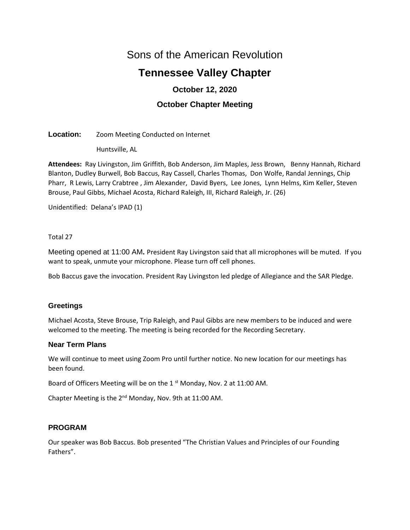# Sons of the American Revolution

# **Tennessee Valley Chapter**

## **October 12, 2020**

## **October Chapter Meeting**

## **Location:** Zoom Meeting Conducted on Internet

Huntsville, AL

**Attendees:** Ray Livingston, Jim Griffith, Bob Anderson, Jim Maples, Jess Brown, Benny Hannah, Richard Blanton, Dudley Burwell, Bob Baccus, Ray Cassell, Charles Thomas, Don Wolfe, Randal Jennings, Chip Pharr, R Lewis, Larry Crabtree , Jim Alexander, David Byers, Lee Jones, Lynn Helms, Kim Keller, Steven Brouse, Paul Gibbs, Michael Acosta, Richard Raleigh, III, Richard Raleigh, Jr. (26)

Unidentified: Delana's IPAD (1)

## Total 27

Meeting opened at 11:00 AM**.** President Ray Livingston said that all microphones will be muted. If you want to speak, unmute your microphone. Please turn off cell phones.

Bob Baccus gave the invocation. President Ray Livingston led pledge of Allegiance and the SAR Pledge.

## **Greetings**

Michael Acosta, Steve Brouse, Trip Raleigh, and Paul Gibbs are new members to be induced and were welcomed to the meeting. The meeting is being recorded for the Recording Secretary.

## **Near Term Plans**

We will continue to meet using Zoom Pro until further notice. No new location for our meetings has been found.

Board of Officers Meeting will be on the 1 st Monday, Nov. 2 at 11:00 AM.

Chapter Meeting is the 2nd Monday, Nov. 9th at 11:00 AM.

## **PROGRAM**

Our speaker was Bob Baccus. Bob presented "The Christian Values and Principles of our Founding Fathers".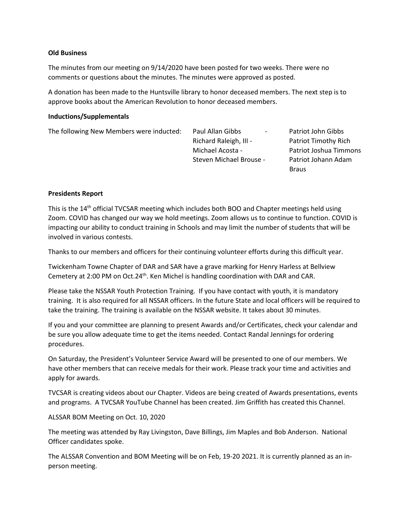#### **Old Business**

The minutes from our meeting on 9/14/2020 have been posted for two weeks. There were no comments or questions about the minutes. The minutes were approved as posted.

A donation has been made to the Huntsville library to honor deceased members. The next step is to approve books about the American Revolution to honor deceased members.

#### **Inductions/Supplementals**

The following New Members were inducted: Paul Allan Gibbs **Faul Allah Gibbs Faul Allah Gibbs** 

Richard Raleigh, III - Patriot Timothy Rich Michael Acosta - Patriot Joshua Timmons Steven Michael Brouse - Patriot Johann Adam

Braus

#### **Presidents Report**

This is the 14<sup>th</sup> official TVCSAR meeting which includes both BOO and Chapter meetings held using Zoom. COVID has changed our way we hold meetings. Zoom allows us to continue to function. COVID is impacting our ability to conduct training in Schools and may limit the number of students that will be involved in various contests.

Thanks to our members and officers for their continuing volunteer efforts during this difficult year.

Twickenham Towne Chapter of DAR and SAR have a grave marking for Henry Harless at Bellview Cemetery at 2:00 PM on Oct.24<sup>th</sup>. Ken Michel is handling coordination with DAR and CAR.

Please take the NSSAR Youth Protection Training. If you have contact with youth, it is mandatory training. It is also required for all NSSAR officers. In the future State and local officers will be required to take the training. The training is available on the NSSAR website. It takes about 30 minutes.

If you and your committee are planning to present Awards and/or Certificates, check your calendar and be sure you allow adequate time to get the items needed. Contact Randal Jennings for ordering procedures.

On Saturday, the President's Volunteer Service Award will be presented to one of our members. We have other members that can receive medals for their work. Please track your time and activities and apply for awards.

TVCSAR is creating videos about our Chapter. Videos are being created of Awards presentations, events and programs. A TVCSAR YouTube Channel has been created. Jim Griffith has created this Channel.

#### ALSSAR BOM Meeting on Oct. 10, 2020

The meeting was attended by Ray Livingston, Dave Billings, Jim Maples and Bob Anderson. National Officer candidates spoke.

The ALSSAR Convention and BOM Meeting will be on Feb, 19-20 2021. It is currently planned as an inperson meeting.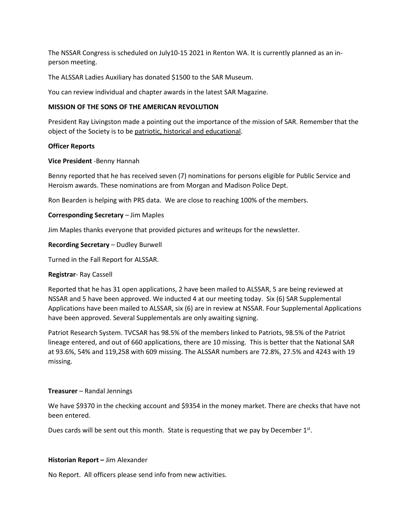The NSSAR Congress is scheduled on July10-15 2021 in Renton WA. It is currently planned as an inperson meeting.

The ALSSAR Ladies Auxiliary has donated \$1500 to the SAR Museum.

You can review individual and chapter awards in the latest SAR Magazine.

#### **MISSION OF THE SONS OF THE AMERICAN REVOLUTION**

President Ray Livingston made a pointing out the importance of the mission of SAR. Remember that the object of the Society is to be patriotic, historical and educational.

#### **Officer Reports**

#### **Vice President** -Benny Hannah

Benny reported that he has received seven (7) nominations for persons eligible for Public Service and Heroism awards. These nominations are from Morgan and Madison Police Dept.

Ron Bearden is helping with PRS data. We are close to reaching 100% of the members.

#### **Corresponding Secretary** – Jim Maples

Jim Maples thanks everyone that provided pictures and writeups for the newsletter.

#### **Recording Secretary** – Dudley Burwell

Turned in the Fall Report for ALSSAR.

#### **Registrar**- Ray Cassell

Reported that he has 31 open applications, 2 have been mailed to ALSSAR, 5 are being reviewed at NSSAR and 5 have been approved. We inducted 4 at our meeting today. Six (6) SAR Supplemental Applications have been mailed to ALSSAR, six (6) are in review at NSSAR. Four Supplemental Applications have been approved. Several Supplementals are only awaiting signing.

Patriot Research System. TVCSAR has 98.5% of the members linked to Patriots, 98.5% of the Patriot lineage entered, and out of 660 applications, there are 10 missing. This is better that the National SAR at 93.6%, 54% and 119,258 with 609 missing. The ALSSAR numbers are 72.8%, 27.5% and 4243 with 19 missing.

#### **Treasurer** – Randal Jennings

We have \$9370 in the checking account and \$9354 in the money market. There are checks that have not been entered.

Dues cards will be sent out this month. State is requesting that we pay by December  $1<sup>st</sup>$ .

#### **Historian Report –** Jim Alexander

No Report. All officers please send info from new activities.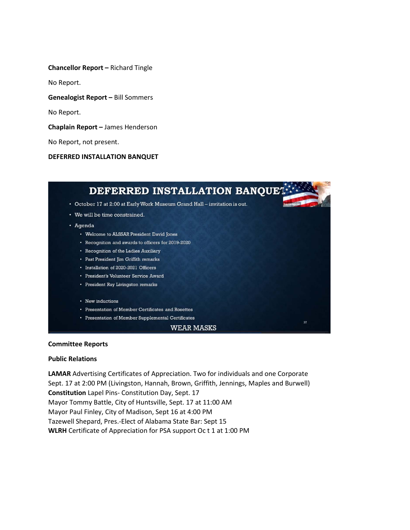**Chancellor Report –** Richard Tingle

No Report.

**Genealogist Report –** Bill Sommers

No Report.

**Chaplain Report –** James Henderson

No Report, not present.

**DEFERRED INSTALLATION BANQUET**



#### **Committee Reports**

#### **Public Relations**

**LAMAR** Advertising Certificates of Appreciation. Two for individuals and one Corporate Sept. 17 at 2:00 PM (Livingston, Hannah, Brown, Griffith, Jennings, Maples and Burwell) **Constitution** Lapel Pins- Constitution Day, Sept. 17 Mayor Tommy Battle, City of Huntsville, Sept. 17 at 11:00 AM Mayor Paul Finley, City of Madison, Sept 16 at 4:00 PM Tazewell Shepard, Pres.-Elect of Alabama State Bar: Sept 15 **WLRH** Certificate of Appreciation for PSA support Oc t 1 at 1:00 PM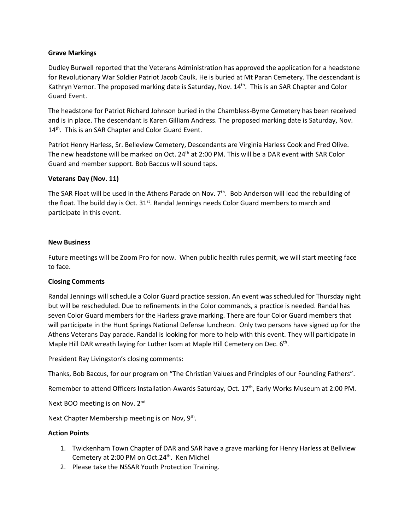#### **Grave Markings**

Dudley Burwell reported that the Veterans Administration has approved the application for a headstone for Revolutionary War Soldier Patriot Jacob Caulk. He is buried at Mt Paran Cemetery. The descendant is Kathryn Vernor. The proposed marking date is Saturday, Nov.  $14^{\text{th}}$ . This is an SAR Chapter and Color Guard Event.

The headstone for Patriot Richard Johnson buried in the Chambless-Byrne Cemetery has been received and is in place. The descendant is Karen Gilliam Andress. The proposed marking date is Saturday, Nov. 14<sup>th</sup>. This is an SAR Chapter and Color Guard Event.

Patriot Henry Harless, Sr. Belleview Cemetery, Descendants are Virginia Harless Cook and Fred Olive. The new headstone will be marked on Oct. 24<sup>th</sup> at 2:00 PM. This will be a DAR event with SAR Color Guard and member support. Bob Baccus will sound taps.

## **Veterans Day (Nov. 11)**

The SAR Float will be used in the Athens Parade on Nov. 7<sup>th</sup>. Bob Anderson will lead the rebuilding of the float. The build day is Oct. 31<sup>st</sup>. Randal Jennings needs Color Guard members to march and participate in this event.

#### **New Business**

Future meetings will be Zoom Pro for now. When public health rules permit, we will start meeting face to face.

## **Closing Comments**

Randal Jennings will schedule a Color Guard practice session. An event was scheduled for Thursday night but will be rescheduled. Due to refinements in the Color commands, a practice is needed. Randal has seven Color Guard members for the Harless grave marking. There are four Color Guard members that will participate in the Hunt Springs National Defense luncheon. Only two persons have signed up for the Athens Veterans Day parade. Randal is looking for more to help with this event. They will participate in Maple Hill DAR wreath laying for Luther Isom at Maple Hill Cemetery on Dec. 6th.

President Ray Livingston's closing comments:

Thanks, Bob Baccus, for our program on "The Christian Values and Principles of our Founding Fathers".

Remember to attend Officers Installation-Awards Saturday, Oct. 17<sup>th</sup>, Early Works Museum at 2:00 PM.

Next BOO meeting is on Nov. 2<sup>nd</sup>

Next Chapter Membership meeting is on Nov, 9<sup>th</sup>.

#### **Action Points**

- 1. Twickenham Town Chapter of DAR and SAR have a grave marking for Henry Harless at Bellview Cemetery at 2:00 PM on Oct.24<sup>th</sup>. Ken Michel
- 2. Please take the NSSAR Youth Protection Training.